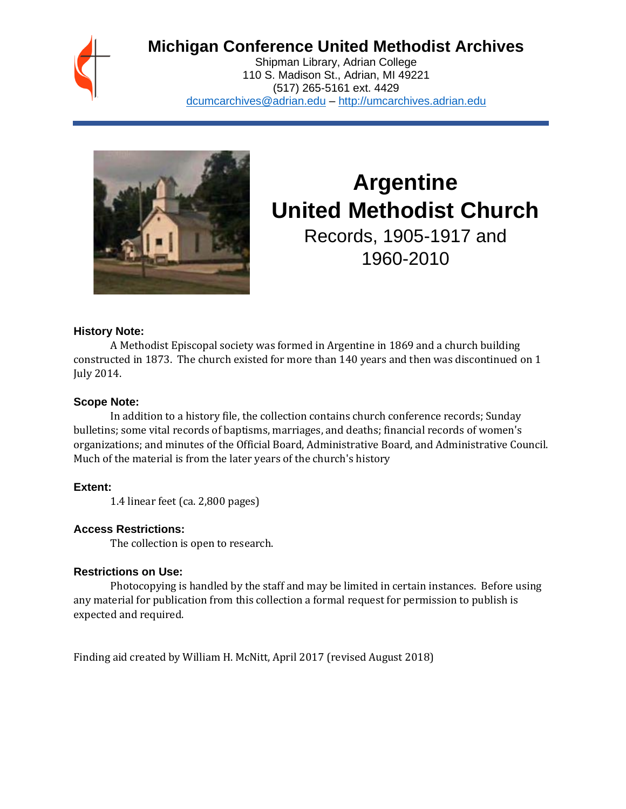

## **Michigan Conference United Methodist Archives**

Shipman Library, Adrian College 110 S. Madison St., Adrian, MI 49221 (517) 265-5161 ext. 4429 [dcumcarchives@adrian.edu](mailto:dcumcarchives@adrian.edu) – [http://umcarchives.adrian.edu](http://umcarchives.adrian.edu/)



# **Argentine United Methodist Church**

Records, 1905-1917 and 1960-2010

## **History Note:**

A Methodist Episcopal society was formed in Argentine in 1869 and a church building constructed in 1873. The church existed for more than 140 years and then was discontinued on 1 July 2014.

## **Scope Note:**

In addition to a history file, the collection contains church conference records; Sunday bulletins; some vital records of baptisms, marriages, and deaths; financial records of women's organizations; and minutes of the Official Board, Administrative Board, and Administrative Council. Much of the material is from the later years of the church's history

## **Extent:**

1.4 linear feet (ca. 2,800 pages)

## **Access Restrictions:**

The collection is open to research.

## **Restrictions on Use:**

Photocopying is handled by the staff and may be limited in certain instances. Before using any material for publication from this collection a formal request for permission to publish is expected and required.

Finding aid created by William H. McNitt, April 2017 (revised August 2018)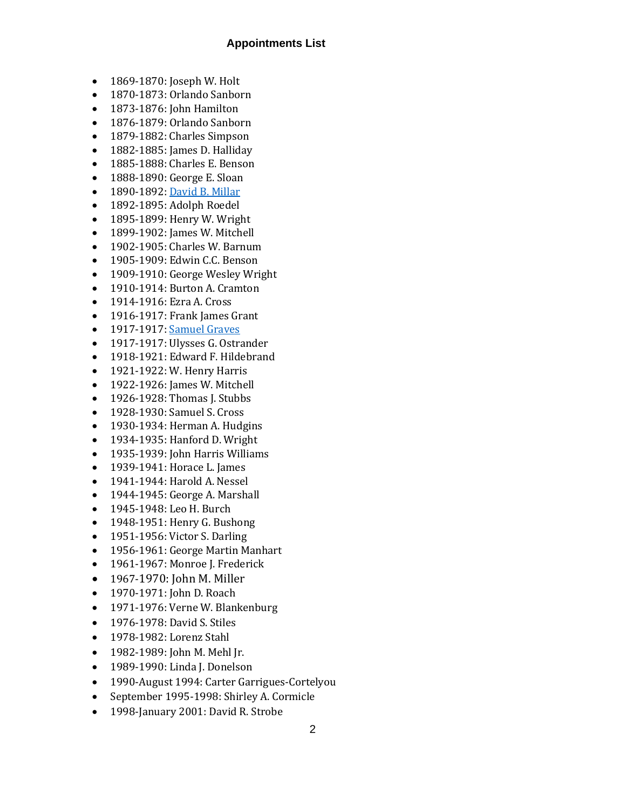#### **Appointments List**

- 1869-1870: Joseph W. Holt
- 1870-1873: Orlando Sanborn
- 1873-1876: John Hamilton
- 1876-1879: Orlando Sanborn
- 1879-1882: Charles Simpson
- 1882-1885: James D. Halliday
- 1885-1888: Charles E. Benson
- 1888-1890: George E. Sloan
- 1890-1892[: David B. Millar](http://umcarchives.adrian.edu/clergy/millardb.php)
- 1892-1895: Adolph Roedel
- 1895-1899: Henry W. Wright
- 1899-1902: James W. Mitchell
- 1902-1905: Charles W. Barnum
- 1905-1909: Edwin C.C. Benson
- 1909-1910: George Wesley Wright
- 1910-1914: Burton A. Cramton
- 1914-1916: Ezra A. Cross
- 1916-1917: Frank James Grant
- 1917-1917[: Samuel Graves](http://umcarchives.adrian.edu/clergy/gravess.php)
- 1917-1917: Ulysses G. Ostrander
- 1918-1921: Edward F. Hildebrand
- 1921-1922: W. Henry Harris
- 1922-1926: James W. Mitchell
- 1926-1928: Thomas J. Stubbs
- 1928-1930: Samuel S. Cross
- 1930-1934: Herman A. Hudgins
- 1934-1935: Hanford D. Wright
- 1935-1939: John Harris Williams
- 1939-1941: Horace L. James
- 1941-1944: Harold A. Nessel
- 1944-1945: George A. Marshall
- 1945-1948: Leo H. Burch
- 1948-1951: Henry G. Bushong
- 1951-1956: Victor S. Darling
- 1956-1961: George Martin Manhart
- 1961-1967: Monroe J. Frederick
- 1967-1970: John M. Miller
- 1970-1971: John D. Roach
- 1971-1976: Verne W. Blankenburg
- 1976-1978: David S. Stiles
- 1978-1982: Lorenz Stahl
- 1982-1989: John M. Mehl Jr.
- 1989-1990: Linda J. Donelson
- 1990-August 1994: Carter Garrigues-Cortelyou
- September 1995-1998: Shirley A. Cormicle
- 1998-January 2001: David R. Strobe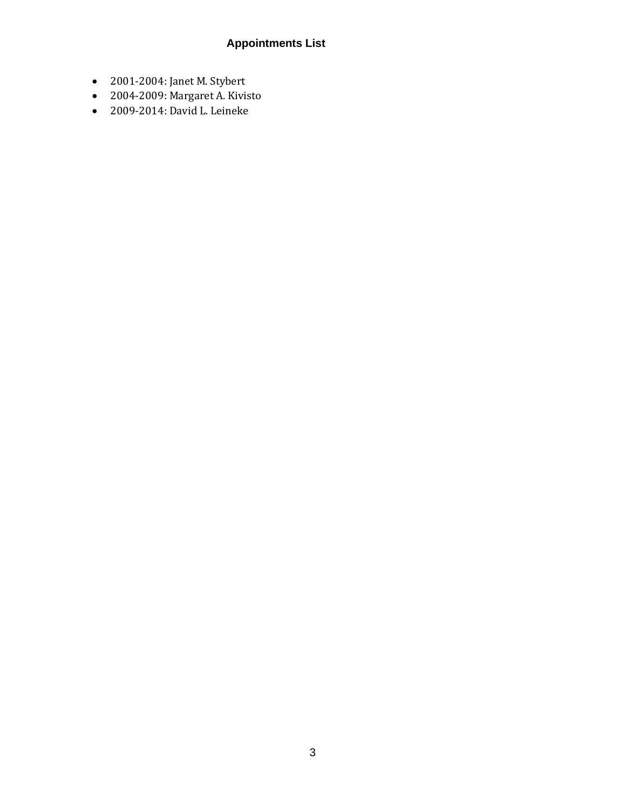## **Appointments List**

- 2001-2004: Janet M. Stybert
- 2004-2009: Margaret A. Kivisto
- 2009-2014: David L. Leineke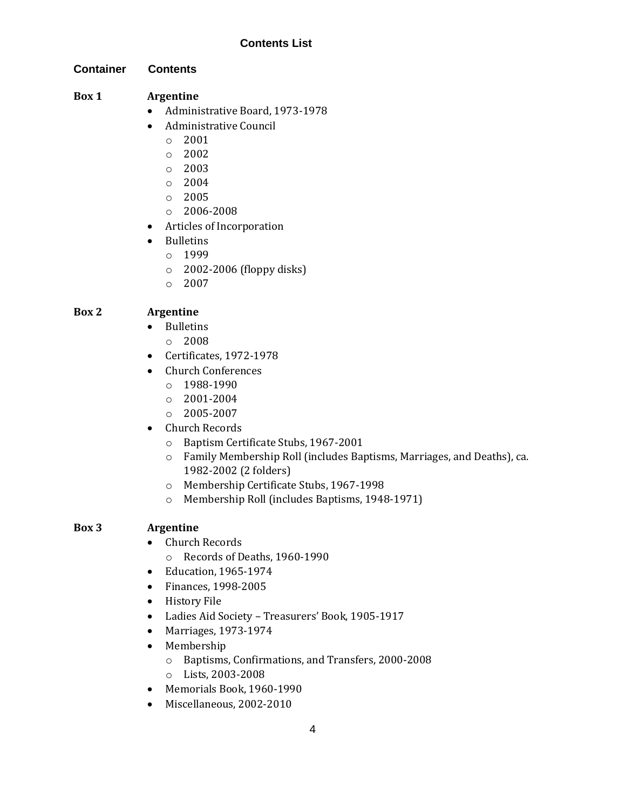## **Contents List**

**Container Contents**

## **Box 1 Argentine**

- Administrative Board, 1973-1978
- Administrative Council
	- o 2001
	- $\degree$  2002
	- o 2003
	- $\circ$  2004
	- o 2005
	- o 2006-2008
- Articles of Incorporation
- Bulletins
	- o 1999
	- $\circ$  2002-2006 (floppy disks)
	- $\circ$  2007

## **Box 2 Argentine**

- Bulletins
	- o 2008
- Certificates, 1972-1978
- Church Conferences
	- $O$  1988-1990
	- $\circ$  2001-2004
	- $O = 2005 2007$
- Church Records
	- o Baptism Certificate Stubs, 1967-2001
	- o Family Membership Roll (includes Baptisms, Marriages, and Deaths), ca. 1982-2002 (2 folders)
	- o Membership Certificate Stubs, 1967-1998
	- o Membership Roll (includes Baptisms, 1948-1971)

## **Box 3 Argentine**

- Church Records
	- o Records of Deaths, 1960-1990
- Education, 1965-1974
- Finances, 1998-2005
- History File
- Ladies Aid Society Treasurers' Book, 1905-1917
- Marriages, 1973-1974
- Membership
	- o Baptisms, Confirmations, and Transfers, 2000-2008
	- o Lists, 2003-2008
- Memorials Book, 1960-1990
- Miscellaneous, 2002-2010